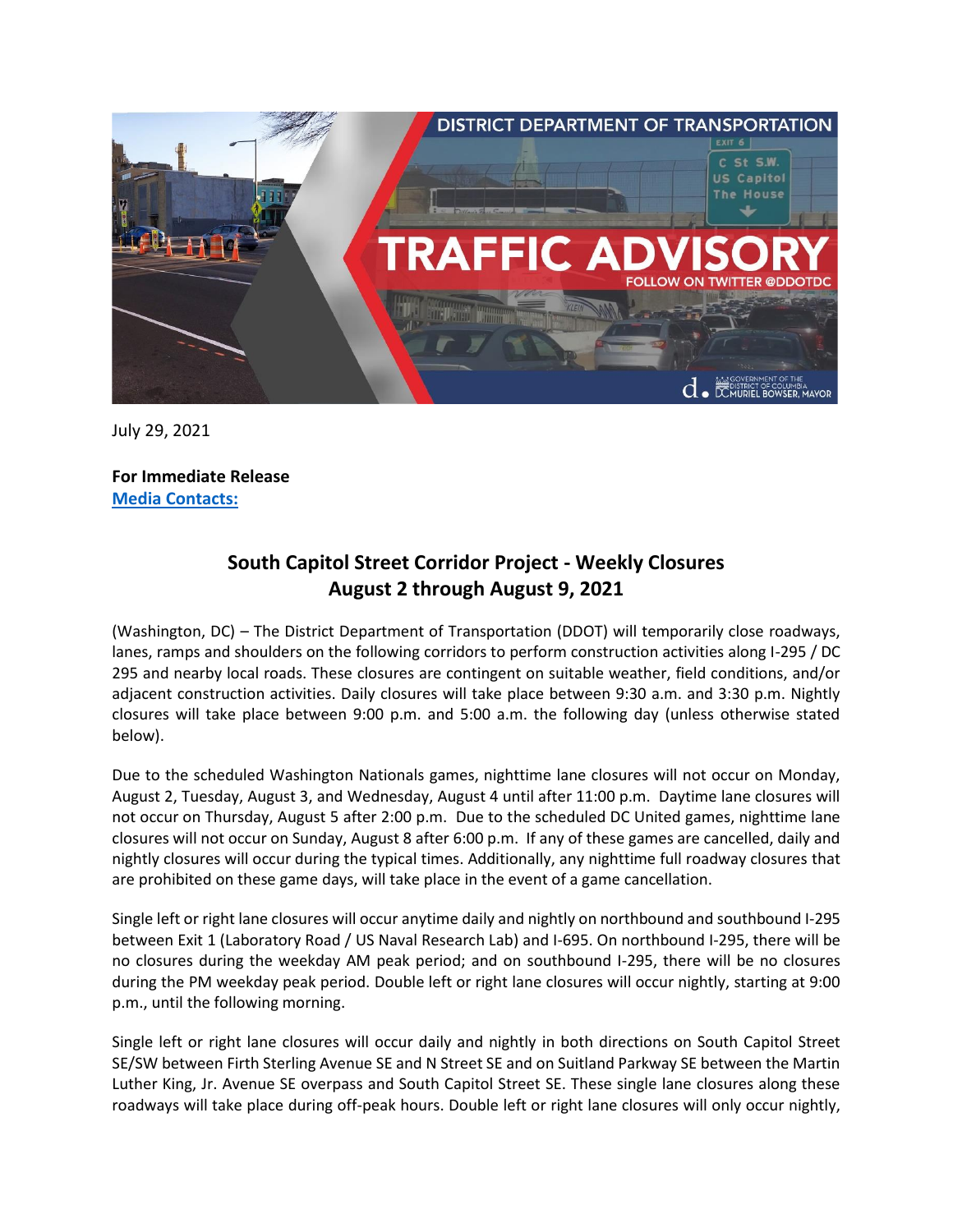

July 29, 2021

**For Immediate Release Media Contacts:**

## **South Capitol Street Corridor Project - Weekly Closures August 2 through August 9, 2021**

(Washington, DC) – The District Department of Transportation (DDOT) will temporarily close roadways, lanes, ramps and shoulders on the following corridors to perform construction activities along I-295 / DC 295 and nearby local roads. These closures are contingent on suitable weather, field conditions, and/or adjacent construction activities. Daily closures will take place between 9:30 a.m. and 3:30 p.m. Nightly closures will take place between 9:00 p.m. and 5:00 a.m. the following day (unless otherwise stated below).

Due to the scheduled Washington Nationals games, nighttime lane closures will not occur on Monday, August 2, Tuesday, August 3, and Wednesday, August 4 until after 11:00 p.m. Daytime lane closures will not occur on Thursday, August 5 after 2:00 p.m. Due to the scheduled DC United games, nighttime lane closures will not occur on Sunday, August 8 after 6:00 p.m. If any of these games are cancelled, daily and nightly closures will occur during the typical times. Additionally, any nighttime full roadway closures that are prohibited on these game days, will take place in the event of a game cancellation.

Single left or right lane closures will occur anytime daily and nightly on northbound and southbound I-295 between Exit 1 (Laboratory Road / US Naval Research Lab) and I-695. On northbound I-295, there will be no closures during the weekday AM peak period; and on southbound I-295, there will be no closures during the PM weekday peak period. Double left or right lane closures will occur nightly, starting at 9:00 p.m., until the following morning.

Single left or right lane closures will occur daily and nightly in both directions on South Capitol Street SE/SW between Firth Sterling Avenue SE and N Street SE and on Suitland Parkway SE between the Martin Luther King, Jr. Avenue SE overpass and South Capitol Street SE. These single lane closures along these roadways will take place during off-peak hours. Double left or right lane closures will only occur nightly,